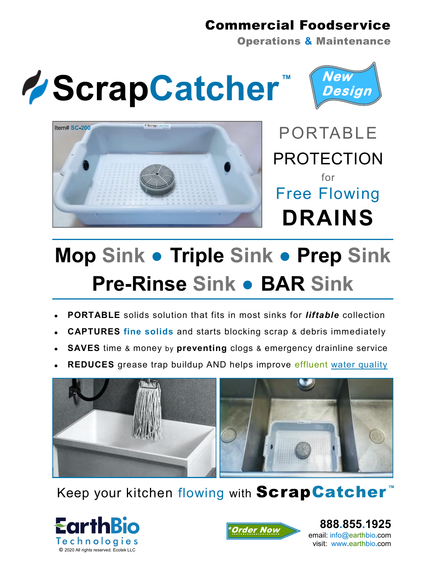## Commercial Foodservice

Operations **&** Maintenance









## **Mop Sink ● Triple Sink ● Prep Sink Pre-Rinse Sink ● BAR Sink**

- **PORTABLE** solids solution that fits in most sinks for *liftable* collection
- **CAPTURES fine solids** and starts blocking scrap & debris immediately
- **SAVES** time & money by **preventing** clogs & emergency drainline service
- **REDUCES** grease trap buildup AND helps improve effluent water quality



Keep your kitchen flowing with **ScrapCatcher**<sup>™</sup>